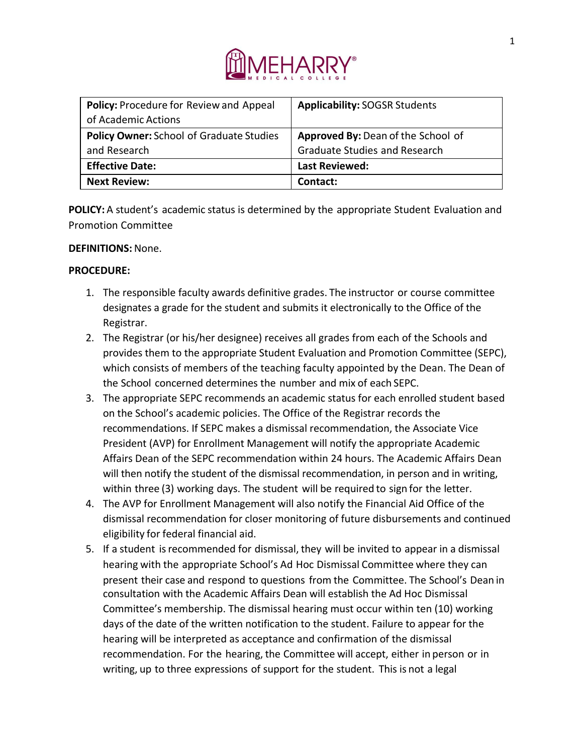

| <b>Policy: Procedure for Review and Appeal</b><br>of Academic Actions | <b>Applicability: SOGSR Students</b>                                       |
|-----------------------------------------------------------------------|----------------------------------------------------------------------------|
| <b>Policy Owner: School of Graduate Studies</b><br>and Research       | Approved By: Dean of the School of<br><b>Graduate Studies and Research</b> |
| <b>Effective Date:</b>                                                | <b>Last Reviewed:</b>                                                      |
| <b>Next Review:</b>                                                   | Contact:                                                                   |

**POLICY:** A student's academic status is determined by the appropriate Student Evaluation and Promotion Committee

## **DEFINITIONS:** None.

## **PROCEDURE:**

- 1. The responsible faculty awards definitive grades. The instructor or course committee designates a grade for the student and submits it electronically to the Office of the Registrar.
- 2. The Registrar (or his/her designee) receives all grades from each of the Schools and provides them to the appropriate Student Evaluation and Promotion Committee (SEPC), which consists of members of the teaching faculty appointed by the Dean. The Dean of the School concerned determines the number and mix of each SEPC.
- 3. The appropriate SEPC recommends an academic status for each enrolled student based on the School's academic policies. The Office of the Registrar records the recommendations. If SEPC makes a dismissal recommendation, the Associate Vice President (AVP) for Enrollment Management will notify the appropriate Academic Affairs Dean of the SEPC recommendation within 24 hours. The Academic Affairs Dean will then notify the student of the dismissal recommendation, in person and in writing, within three (3) working days. The student will be required to sign for the letter.
- 4. The AVP for Enrollment Management will also notify the Financial Aid Office of the dismissal recommendation for closer monitoring of future disbursements and continued eligibility for federal financial aid.
- 5. If a student isrecommended for dismissal, they will be invited to appear in a dismissal hearing with the appropriate School's Ad Hoc Dismissal Committee where they can present their case and respond to questions from the Committee. The School's Dean in consultation with the Academic Affairs Dean will establish the Ad Hoc Dismissal Committee's membership. The dismissal hearing must occur within ten (10) working days of the date of the written notification to the student. Failure to appear for the hearing will be interpreted as acceptance and confirmation of the dismissal recommendation. For the hearing, the Committee will accept, either in person or in writing, up to three expressions of support for the student. This is not a legal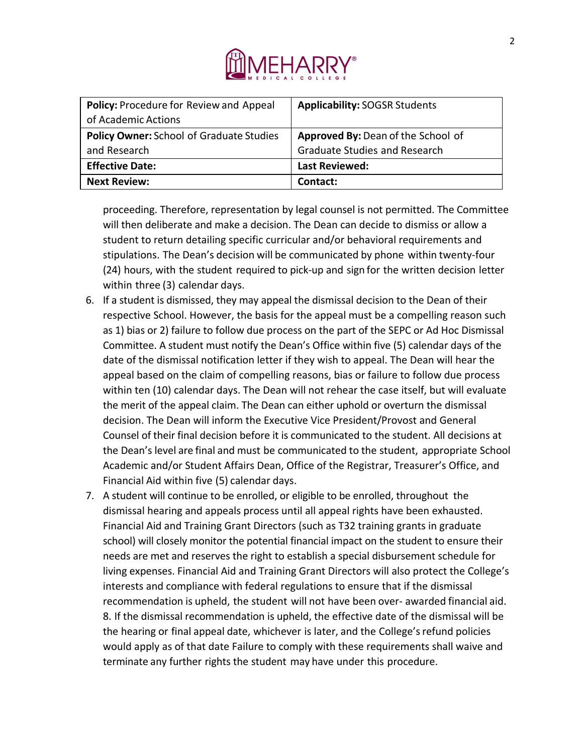

| Policy: Procedure for Review and Appeal<br>of Academic Actions  | <b>Applicability: SOGSR Students</b>                                       |
|-----------------------------------------------------------------|----------------------------------------------------------------------------|
| <b>Policy Owner: School of Graduate Studies</b><br>and Research | Approved By: Dean of the School of<br><b>Graduate Studies and Research</b> |
| <b>Effective Date:</b>                                          | <b>Last Reviewed:</b>                                                      |
| <b>Next Review:</b>                                             | Contact:                                                                   |

proceeding. Therefore, representation by legal counsel is not permitted. The Committee will then deliberate and make a decision. The Dean can decide to dismiss or allow a student to return detailing specific curricular and/or behavioral requirements and stipulations. The Dean's decision will be communicated by phone within twenty-four (24) hours, with the student required to pick-up and sign for the written decision letter within three (3) calendar days.

- 6. If a student is dismissed, they may appeal the dismissal decision to the Dean of their respective School. However, the basis for the appeal must be a compelling reason such as 1) bias or 2) failure to follow due process on the part of the SEPC or Ad Hoc Dismissal Committee. A student must notify the Dean's Office within five (5) calendar days of the date of the dismissal notification letter if they wish to appeal. The Dean will hear the appeal based on the claim of compelling reasons, bias or failure to follow due process within ten (10) calendar days. The Dean will not rehear the case itself, but will evaluate the merit of the appeal claim. The Dean can either uphold or overturn the dismissal decision. The Dean will inform the Executive Vice President/Provost and General Counsel of their final decision before it is communicated to the student. All decisions at the Dean's level are final and must be communicated to the student, appropriate School Academic and/or Student Affairs Dean, Office of the Registrar, Treasurer's Office, and Financial Aid within five (5) calendar days.
- 7. A student will continue to be enrolled, or eligible to be enrolled, throughout the dismissal hearing and appeals process until all appeal rights have been exhausted. Financial Aid and Training Grant Directors (such as T32 training grants in graduate school) will closely monitor the potential financial impact on the student to ensure their needs are met and reserves the right to establish a special disbursement schedule for living expenses. Financial Aid and Training Grant Directors will also protect the College's interests and compliance with federal regulations to ensure that if the dismissal recommendation is upheld, the student will not have been over- awarded financial aid. 8. If the dismissal recommendation is upheld, the effective date of the dismissal will be the hearing or final appeal date, whichever is later, and the College's refund policies would apply as of that date Failure to comply with these requirements shall waive and terminate any further rights the student may have under this procedure.